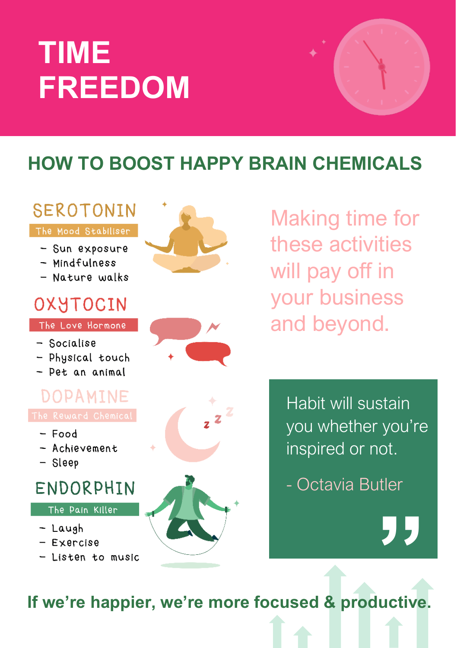# **EEDOM**

#### SEROTONIN

#### The Mood Stabiliser

- Sun exposure
- Mindfulness
- Nature walks

### OXYTOCIN

The Love Hormone

- Socialise
- Physical touch
- Pet an animal





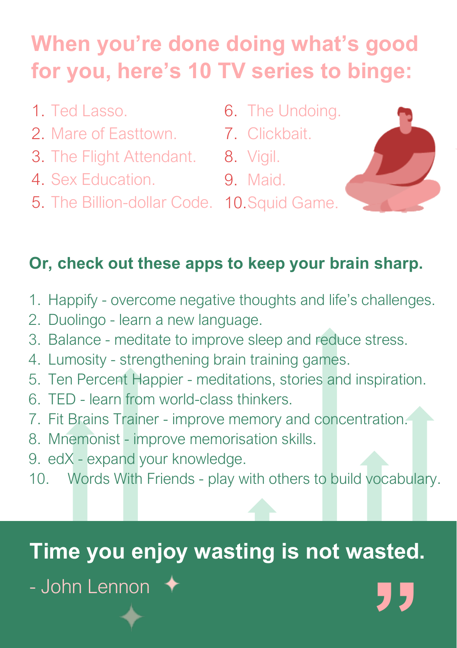## **When you're done doing what's good for you, here's 10 TV series to binge:**

- 1. Ted Lasso.
- 2. Mare of Easttown.
- 3. The Flight Attendant. 8. Vigil.
- 4. Sex Education.
- 5. The Billion-dollar Code. 10.Squid Game.
- 6. The Undoing.
- 7. Clickbait.
	-
	- 9. Maid.
- 



#### **Or, check out these apps to keep your brain sharp.**

- 1. Happify overcome negative thoughts and life's challenges.
- 2. Duolingo learn a new language.
- 3. Balance meditate to improve sleep and reduce stress.
- 4. Lumosity strengthening brain training games.
- 5. Ten Percent Happier meditations, stories and inspiration.
- 6. TED learn from world-class thinkers.
- 7. Fit Brains Trainer improve memory and concentration.
- 8. Mnemonist improve memorisation skills.
- 9. edX expand your knowledge.
- 10. Words With Friends play with others to build vocabulary.

### **Time you enjoy wasting is not wasted.**

- John Lennon **"**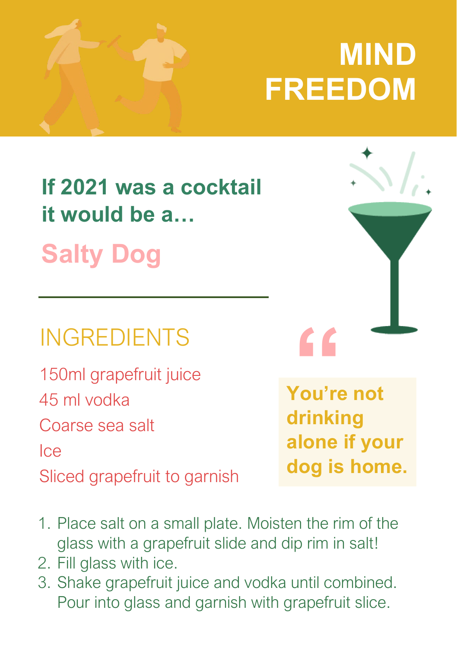# **MIND FREEDOM**

## **If 2021 was a cocktail it would be a… Salty Dog**

## INGREDIENTS

150ml grapefruit juice 45 ml vodka

Coarse sea salt

Ice

Sliced grapefruit to garnish



- 1. Place salt on a small plate. Moisten the rim of the glass with a grapefruit slide and dip rim in salt!
- 2. Fill glass with ice.
- 3. Shake grapefruit juice and vodka until combined. Pour into glass and garnish with grapefruit slice.

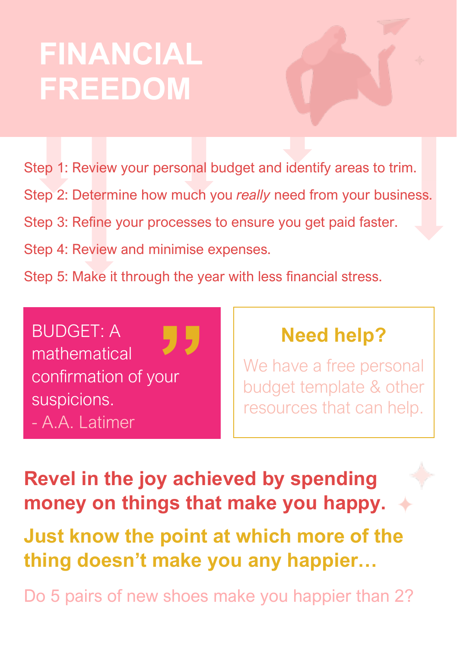# **FINANCIAL FREEDOM**

Step 1: Review your personal budget and identify areas to trim. Step 2: Determine how much you *really* need from your business. Step 3: Refine your processes to ensure you get paid faster. Step 4: Review and minimise expenses. Step 5: Make it through the year with less financial stress.

BUDGET: A mathematical confirmation of your suspicions. - A.A. Latimer **"**

### **Need help?**

We have a free personal budget template & other resources that can help.

**Revel in the joy achieved by spending money on things that make you happy.**

**Just know the point at which more of the thing doesn't make you any happier…**

Do 5 pairs of new shoes make you happier than 2?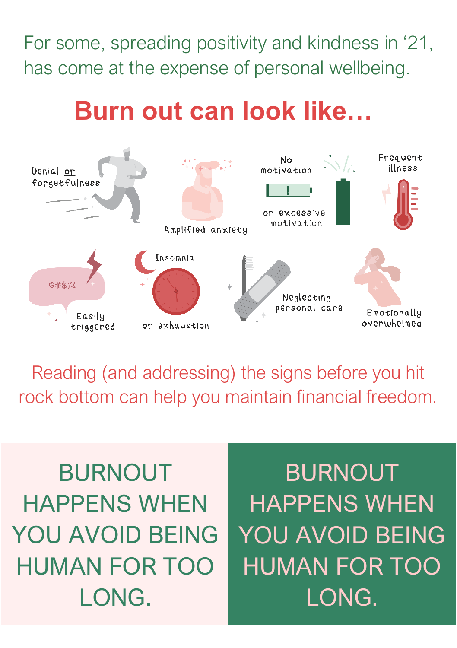For some, spreading positivity and kindness in '21, has come at the expense of personal wellbeing.

## **Burn out can look like…**



Reading (and addressing) the signs before you hit rock bottom can help you maintain financial freedom.

HUMAN FOR TOO BURNOUT HAPPENS WHEN YOU AVOID BEING LONG.

YOU AVOID BEING YOU AVOID BEING BURNOUT HAPPENS WHEN HUMAN FOR TOO LONG.